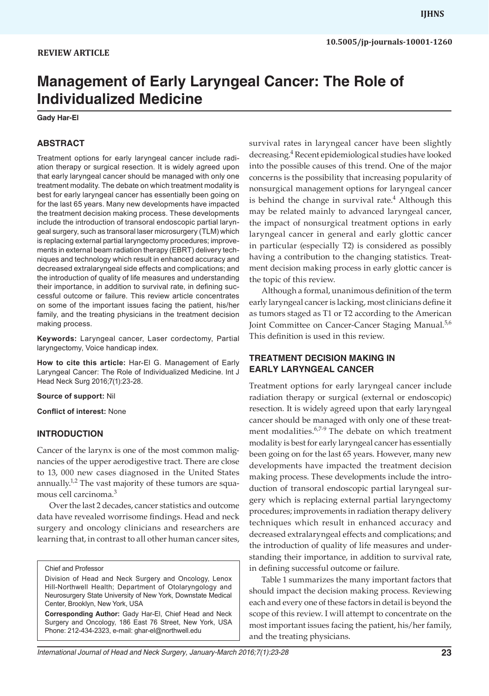# **Management of Early Laryngeal Cancer: The Role of Individualized Medicine**

**Gady Har-El**

#### **ABSTRACT**

Treatment options for early laryngeal cancer include radiation therapy or surgical resection. It is widely agreed upon that early laryngeal cancer should be managed with only one treatment modality. The debate on which treatment modality is best for early laryngeal cancer has essentially been going on for the last 65 years. Many new developments have impacted the treatment decision making process. These developments include the introduction of transoral endoscopic partial laryngeal surgery, such as transoral laser microsurgery (TLM) which is replacing external partial laryngectomy procedures; improvements in external beam radiation therapy (EBRT) delivery techniques and technology which result in enhanced accuracy and decreased extralaryngeal side effects and complications; and the introduction of quality of life measures and understanding their importance, in addition to survival rate, in defining successful outcome or failure. This review article concentrates on some of the important issues facing the patient, his/her family, and the treating physicians in the treatment decision making process.

**Keywords:** Laryngeal cancer, Laser cordectomy, Partial laryngectomy, Voice handicap index.

**How to cite this article:** Har-El G. Management of Early Laryngeal Cancer: The Role of Individualized Medicine. Int J Head Neck Surg 2016;7(1):23-28.

**Source of support:** Nil

**Conflict of interest:** None

#### **INTRODUCTION**

Cancer of the larynx is one of the most common malignancies of the upper aerodigestive tract. There are close to 13, 000 new cases diagnosed in the United States annually.<sup>1,2</sup> The vast majority of these tumors are squamous cell carcinoma.<sup>3</sup>

Over the last 2 decades, cancer statistics and outcome data have revealed worrisome findings. Head and neck surgery and oncology clinicians and researchers are learning that, in contrast to all other human cancer sites,

Chief and Professor

Division of Head and Neck Surgery and Oncology, Lenox Hill-Northwell Health; Department of Otolaryngology and Neurosurgery State University of New York, Downstate Medical Center, Brooklyn, New York, USA

**Corresponding Author:** Gady Har-El, Chief Head and Neck Surgery and Oncology, 186 East 76 Street, New York, USA Phone: 212-434-2323, e-mail: ghar-el@northwell.edu

survival rates in laryngeal cancer have been slightly decreasing.4 Recent epidemiological studies have looked into the possible causes of this trend. One of the major concerns is the possibility that increasing popularity of nonsurgical management options for laryngeal cancer is behind the change in survival rate.<sup>4</sup> Although this may be related mainly to advanced laryngeal cancer, the impact of nonsurgical treatment options in early laryngeal cancer in general and early glottic cancer in particular (especially T2) is considered as possibly having a contribution to the changing statistics. Treatment decision making process in early glottic cancer is the topic of this review.

Although a formal, unanimous definition of the term early laryngeal cancer is lacking, most clinicians define it as tumors staged as T1 or T2 according to the American Joint Committee on Cancer-Cancer Staging Manual.<sup>5,6</sup> This definition is used in this review.

# **TREATMENT DECISION MAKING IN EARLY LARYNGEAL CANCER**

Treatment options for early laryngeal cancer include radiation therapy or surgical (external or endoscopic) resection. It is widely agreed upon that early laryngeal cancer should be managed with only one of these treatment modalities.<sup>6,7-9</sup> The debate on which treatment modality is best for early laryngeal cancer has essentially been going on for the last 65 years. However, many new developments have impacted the treatment decision making process. These developments include the introduction of transoral endoscopic partial laryngeal surgery which is replacing external partial laryngectomy procedures; improvements in radiation therapy delivery techniques which result in enhanced accuracy and decreased extralaryngeal effects and complications; and the introduction of quality of life measures and understanding their importance, in addition to survival rate, in defining successful outcome or failure.

Table 1 summarizes the many important factors that should impact the decision making process. Reviewing each and every one of these factors in detail is beyond the scope of this review. I will attempt to concentrate on the most important issues facing the patient, his/her family, and the treating physicians.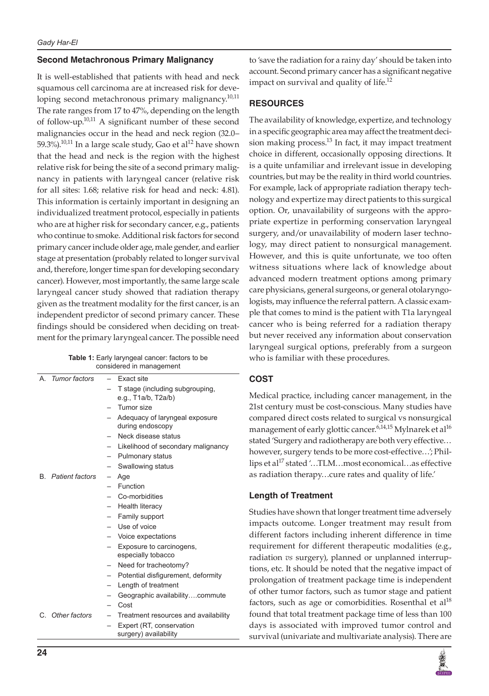# **Second Metachronous Primary Malignancy**

It is well-established that patients with head and neck squamous cell carcinoma are at increased risk for developing second metachronous primary malignancy.<sup>10,11</sup> The rate ranges from 17 to 47%, depending on the length of follow-up.10,11 A significant number of these second malignancies occur in the head and neck region (32.0– 59.3%).<sup>10,11</sup> In a large scale study, Gao et al<sup>12</sup> have shown that the head and neck is the region with the highest relative risk for being the site of a second primary malignancy in patients with laryngeal cancer (relative risk for all sites: 1.68; relative risk for head and neck: 4.81). This information is certainly important in designing an individualized treatment protocol, especially in patients who are at higher risk for secondary cancer, e.g., patients who continue to smoke. Additional risk factors for second primary cancer include older age, male gender, and earlier stage at presentation (probably related to longer survival and, therefore, longer time span for developing secondary cancer). However, most importantly, the same large scale laryngeal cancer study showed that radiation therapy given as the treatment modality for the first cancer, is an independent predictor of second primary cancer. These findings should be considered when deciding on treatment for the primary laryngeal cancer. The possible need

| <b>Table 1:</b> Early laryngeal cancer: factors to be |
|-------------------------------------------------------|
| considered in management                              |

| $\mathsf{A}_{\cdot}$ | Tumor factors             | Exact site                           |
|----------------------|---------------------------|--------------------------------------|
|                      |                           | T stage (including subgrouping,      |
|                      |                           | e.g., T1a/b, T2a/b)                  |
|                      |                           | Tumor size                           |
|                      |                           | Adequacy of laryngeal exposure       |
|                      |                           | during endoscopy                     |
|                      |                           | Neck disease status                  |
|                      |                           | - Likelihood of secondary malignancy |
|                      |                           | - Pulmonary status                   |
|                      |                           | Swallowing status                    |
|                      | <b>B.</b> Patient factors | Age                                  |
|                      |                           | Function                             |
|                      |                           | Co-morbidities                       |
|                      |                           | Health literacy                      |
|                      |                           | Family support                       |
|                      |                           | - Use of voice                       |
|                      |                           | Voice expectations                   |
|                      |                           | Exposure to carcinogens,             |
|                      |                           | especially tobacco                   |
|                      |                           | Need for tracheotomy?                |
|                      |                           | Potential disfigurement, deformity   |
|                      |                           | Length of treatment                  |
|                      |                           | Geographic availabilitycommute       |
|                      |                           | Cost                                 |
|                      | C. Other factors          | Treatment resources and availability |
|                      |                           | Expert (RT, conservation             |
|                      |                           | surgery) availability                |

to 'save the radiation for a rainy day' should be taken into account. Second primary cancer has a significant negative impact on survival and quality of life.<sup>12</sup>

# **RESOURCES**

The availability of knowledge, expertize, and technology in a specific geographic area may affect the treatment decision making process.<sup>13</sup> In fact, it may impact treatment choice in different, occasionally opposing directions. It is a quite unfamiliar and irrelevant issue in developing countries, but may be the reality in third world countries. For example, lack of appropriate radiation therapy technology and expertize may direct patients to this surgical option. Or, unavailability of surgeons with the appropriate expertize in performing conservation laryngeal surgery, and/or unavailability of modern laser technology, may direct patient to nonsurgical management. However, and this is quite unfortunate, we too often witness situations where lack of knowledge about advanced modern treatment options among primary care physicians, general surgeons, or general otolaryngologists, may influence the referral pattern. A classic example that comes to mind is the patient with T1a laryngeal cancer who is being referred for a radiation therapy but never received any information about conservation laryngeal surgical options, preferably from a surgeon who is familiar with these procedures.

# **COST**

Medical practice, including cancer management, in the 21st century must be cost-conscious. Many studies have compared direct costs related to surgical vs nonsurgical management of early glottic cancer. $^{6,14,15}$  Mylnarek et al $^{16}$ stated 'Surgery and radiotherapy are both very effective… however, surgery tends to be more cost-effective…'; Phillips et al<sup>17</sup> stated '...TLM...most economical...as effective as radiation therapy…cure rates and quality of life.'

# **Length of Treatment**

Studies have shown that longer treatment time adversely impacts outcome. Longer treatment may result from different factors including inherent difference in time requirement for different therapeutic modalities (e.g., radiation *vs* surgery), planned or unplanned interruptions, etc. It should be noted that the negative impact of prolongation of treatment package time is independent of other tumor factors, such as tumor stage and patient factors, such as age or comorbidities. Rosenthal et  $al^{18}$ found that total treatment package time of less than 100 days is associated with improved tumor control and survival (univariate and multivariate analysis). There are

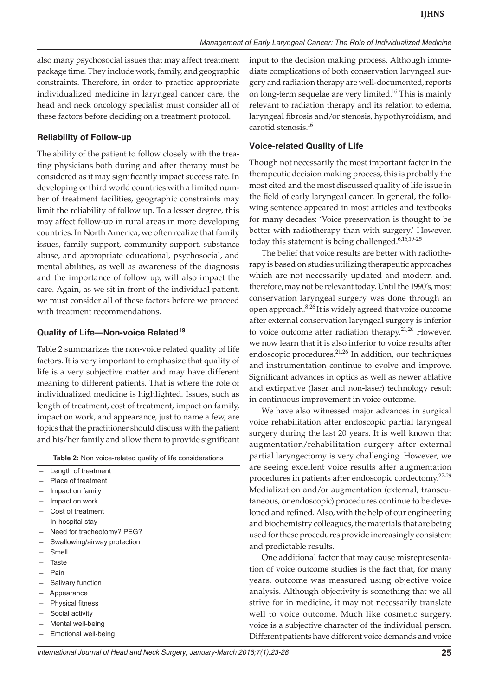also many psychosocial issues that may affect treatment package time. They include work, family, and geographic constraints. Therefore, in order to practice appropriate individualized medicine in laryngeal cancer care, the head and neck oncology specialist must consider all of these factors before deciding on a treatment protocol.

#### **Reliability of Follow-up**

The ability of the patient to follow closely with the treating physicians both during and after therapy must be considered as it may significantly impact success rate. In developing or third world countries with a limited number of treatment facilities, geographic constraints may limit the reliability of follow up. To a lesser degree, this may affect follow-up in rural areas in more developing countries. In North America, we often realize that family issues, family support, community support, substance abuse, and appropriate educational, psychosocial, and mental abilities, as well as awareness of the diagnosis and the importance of follow up, will also impact the care. Again, as we sit in front of the individual patient, we must consider all of these factors before we proceed with treatment recommendations.

#### **Quality of Life—Non-voice Related19**

Table 2 summarizes the non-voice related quality of life factors. It is very important to emphasize that quality of life is a very subjective matter and may have different meaning to different patients. That is where the role of individualized medicine is highlighted. Issues, such as length of treatment, cost of treatment, impact on family, impact on work, and appearance, just to name a few, are topics that the practitioner should discuss with the patient and his/her family and allow them to provide significant

**Table 2:** Non voice-related quality of life considerations

|   | Length of treatment          |
|---|------------------------------|
|   | Place of treatment           |
|   | Impact on family             |
|   | Impact on work               |
| - | Cost of treatment            |
|   | In-hospital stay             |
|   | Need for tracheotomy? PEG?   |
|   | Swallowing/airway protection |
|   | Smell                        |
|   | Taste                        |
|   | Pain                         |
|   | Salivary function            |
|   | Appearance                   |
|   | <b>Physical fitness</b>      |
|   |                              |

- Social activity
- Mental well-being
- Emotional well-being

input to the decision making process. Although immediate complications of both conservation laryngeal surgery and radiation therapy are well-documented, reports on long-term sequelae are very limited.<sup>16</sup> This is mainly relevant to radiation therapy and its relation to edema, laryngeal fibrosis and/or stenosis, hypothyroidism, and carotid stenosis.<sup>16</sup>

### **Voice-related Quality of Life**

Though not necessarily the most important factor in the therapeutic decision making process, this is probably the most cited and the most discussed quality of life issue in the field of early laryngeal cancer. In general, the following sentence appeared in most articles and textbooks for many decades: 'Voice preservation is thought to be better with radiotherapy than with surgery.' However, today this statement is being challenged.<sup>6,16,19-25</sup>

The belief that voice results are better with radiotherapy is based on studies utilizing therapeutic approaches which are not necessarily updated and modern and, therefore, may not be relevant today. Until the 1990's, most conservation laryngeal surgery was done through an open approach.<sup>8,26</sup> It is widely agreed that voice outcome after external conservation laryngeal surgery is inferior to voice outcome after radiation therapy.<sup>21,26</sup> However, we now learn that it is also inferior to voice results after endoscopic procedures.<sup>21,26</sup> In addition, our techniques and instrumentation continue to evolve and improve. Significant advances in optics as well as newer ablative and extirpative (laser and non-laser) technology result in continuous improvement in voice outcome.

We have also witnessed major advances in surgical voice rehabilitation after endoscopic partial laryngeal surgery during the last 20 years. It is well known that augmentation/rehabilitation surgery after external partial laryngectomy is very challenging. However, we are seeing excellent voice results after augmentation procedures in patients after endoscopic cordectomy.27-29 Medialization and/or augmentation (external, transcutaneous, or endoscopic) procedures continue to be developed and refined. Also, with the help of our engineering and biochemistry colleagues, the materials that are being used for these procedures provide increasingly consistent and predictable results.

One additional factor that may cause misrepresentation of voice outcome studies is the fact that, for many years, outcome was measured using objective voice analysis. Although objectivity is something that we all strive for in medicine, it may not necessarily translate well to voice outcome. Much like cosmetic surgery, voice is a subjective character of the individual person. Different patients have different voice demands and voice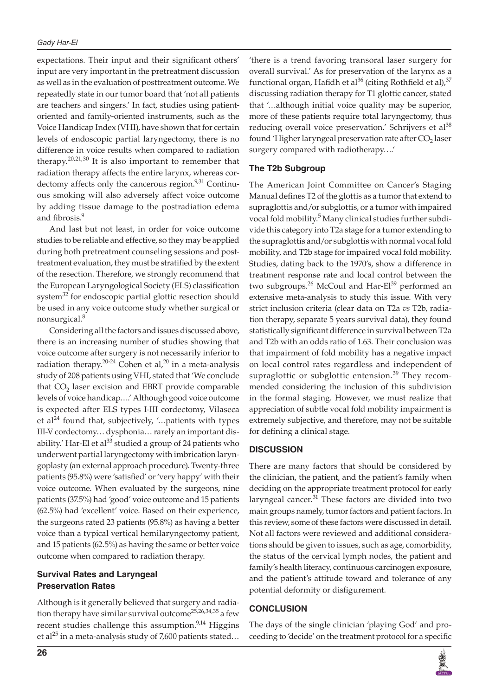#### *Gady Har-El*

expectations. Their input and their significant others' input are very important in the pretreatment discussion as well as in the evaluation of posttreatment outcome. We repeatedly state in our tumor board that 'not all patients are teachers and singers.' In fact, studies using patientoriented and family-oriented instruments, such as the Voice Handicap Index (VHI), have shown that for certain levels of endoscopic partial laryngectomy, there is no difference in voice results when compared to radiation therapy.<sup>20,21,30</sup> It is also important to remember that radiation therapy affects the entire larynx, whereas cordectomy affects only the cancerous region.<sup>9,31</sup> Continuous smoking will also adversely affect voice outcome by adding tissue damage to the postradiation edema and fibrosis.<sup>9</sup>

And last but not least, in order for voice outcome studies to be reliable and effective, so they may be applied during both pretreatment counseling sessions and posttreatment evaluation, they must be stratified by the extent of the resection. Therefore, we strongly recommend that the European Laryngological Society (ELS) classification system<sup>32</sup> for endoscopic partial glottic resection should be used in any voice outcome study whether surgical or nonsurgical.8

Considering all the factors and issues discussed above, there is an increasing number of studies showing that voice outcome after surgery is not necessarily inferior to radiation therapy.<sup>20-24</sup> Cohen et al,<sup>20</sup> in a meta-analysis study of 208 patients using VHI, stated that 'We conclude that  $CO<sub>2</sub>$  laser excision and EBRT provide comparable levels of voice handicap….' Although good voice outcome is expected after ELS types I-III cordectomy, Vilaseca et al<sup>24</sup> found that, subjectively, '...patients with types III-V cordectomy… dysphonia… rarely an important disability.' Har-El et al<sup>33</sup> studied a group of 24 patients who underwent partial laryngectomy with imbrication laryngoplasty (an external approach procedure). Twenty-three patients (95.8%) were 'satisfied' or 'very happy' with their voice outcome. When evaluated by the surgeons, nine patients (37.5%) had 'good' voice outcome and 15 patients (62.5%) had 'excellent' voice. Based on their experience, the surgeons rated 23 patients (95.8%) as having a better voice than a typical vertical hemilaryngectomy patient, and 15 patients (62.5%) as having the same or better voice outcome when compared to radiation therapy.

# **Survival Rates and Laryngeal Preservation Rates**

Although is it generally believed that surgery and radiation therapy have similar survival outcome<sup>25,26,34,35</sup> a few recent studies challenge this assumption. $9,14$  Higgins et al<sup>25</sup> in a meta-analysis study of 7,600 patients stated... 'there is a trend favoring transoral laser surgery for overall survival.' As for preservation of the larynx as a functional organ, Hafidh et al<sup>36</sup> (citing Rothfield et al),  $37$ discussing radiation therapy for T1 glottic cancer, stated that '…although initial voice quality may be superior, more of these patients require total laryngectomy, thus reducing overall voice preservation.' Schrijvers et al<sup>38</sup> found 'Higher laryngeal preservation rate after  $CO<sub>2</sub>$  laser surgery compared with radiotherapy….'

### **The T2b Subgroup**

The American Joint Committee on Cancer's Staging Manual defines T2 of the glottis as a tumor that extend to supraglottis and/or subglottis, or a tumor with impaired vocal fold mobility.<sup>5</sup> Many clinical studies further subdivide this category into T2a stage for a tumor extending to the supraglottis and/or subglottis with normal vocal fold mobility, and T2b stage for impaired vocal fold mobility. Studies, dating back to the 1970's, show a difference in treatment response rate and local control between the two subgroups.<sup>26</sup> McCoul and Har-El<sup>39</sup> performed an extensive meta-analysis to study this issue. With very strict inclusion criteria (clear data on T2a *vs* T2b, radiation therapy, separate 5 years survival data), they found statistically significant difference in survival between T2a and T2b with an odds ratio of 1.63. Their conclusion was that impairment of fold mobility has a negative impact on local control rates regardless and independent of supraglottic or subglottic entension.<sup>39</sup> They recommended considering the inclusion of this subdivision in the formal staging. However, we must realize that appreciation of subtle vocal fold mobility impairment is extremely subjective, and therefore, may not be suitable for defining a clinical stage.

#### **DISCUSSION**

There are many factors that should be considered by the clinician, the patient, and the patient's family when deciding on the appropriate treatment protocol for early laryngeal cancer. $31$  These factors are divided into two main groups namely, tumor factors and patient factors. In this review, some of these factors were discussed in detail. Not all factors were reviewed and additional considerations should be given to issues, such as age, comorbidity, the status of the cervical lymph nodes, the patient and family's health literacy, continuous carcinogen exposure, and the patient's attitude toward and tolerance of any potential deformity or disfigurement.

#### **CONCLUSION**

The days of the single clinician 'playing God' and proceeding to 'decide' on the treatment protocol for a specific

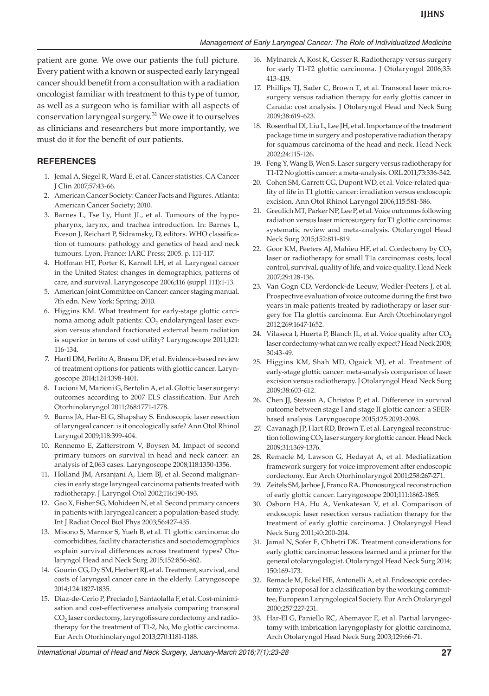patient are gone. We owe our patients the full picture. Every patient with a known or suspected early laryngeal cancer should benefit from a consultation with a radiation oncologist familiar with treatment to this type of tumor, as well as a surgeon who is familiar with all aspects of conservation laryngeal surgery.<sup>31</sup> We owe it to ourselves as clinicians and researchers but more importantly, we must do it for the benefit of our patients.

### **REFERENCES**

- 1. Jemal A, Siegel R, Ward E, et al. Cancer statistics. CA Cancer J Clin 2007;57:43-66.
- 2. American Cancer Society: Cancer Facts and Figures. Atlanta: American Cancer Society; 2010.
- 3. Barnes L, Tse Ly, Hunt JL, et al. Tumours of the hypopharynx, larynx, and trachea introduction. In: Barnes L, Eveson J, Reichart P, Sidramsky, D, editors. WHO classification of tumours: pathology and genetics of head and neck tumours. Lyon, France: IARC Press; 2005. p. 111-117.
- 4. Hoffman HT, Porter K, Karnell LH, et al. Laryngeal cancer in the United States: changes in demographics, patterns of care, and survival. Laryngoscope 2006;116 (suppl 111):1-13.
- 5. American Joint Committee on Cancer: cancer staging manual. 7th edn. New York: Spring; 2010.
- 6. Higgins KM. What treatment for early-stage glottic carcinoma among adult patients: CO<sub>2</sub> endolaryngeal laser excision versus standard fractionated external beam radiation is superior in terms of cost utility? Laryngoscope 2011;121: 116-134.
- 7. Hartl DM, Ferlito A, Brasnu DF, et al. Evidence-based review of treatment options for patients with glottic cancer. Laryngoscope 2014;124:1398-1401.
- 8. Lucioni M, Marioni G, Bertolin A, et al. Glottic laser surgery: outcomes according to 2007 ELS classification. Eur Arch Otorhinolaryngol 2011;268:1771-1778.
- 9. Burns JA, Har-El G, Shapshay S. Endoscopic laser resection of laryngeal cancer: is it oncologically safe? Ann Otol Rhinol Laryngol 2009;118:399-404.
- 10. Rennemo E, Zatterstrom V, Boysen M. Impact of second primary tumors on survival in head and neck cancer: an analysis of 2,063 cases. Laryngoscope 2008;118:1350-1356.
- 11. Holland JM, Arsanjani A, Liem BJ, et al. Second malignancies in early stage laryngeal carcinoma patients treated with radiotherapy. J Laryngol Otol 2002;116:190-193.
- 12. Gao X, Fisher SG, Mohideen N, et al. Second primary cancers in patients with laryngeal cancer: a population-based study. Int J Radiat Oncol Biol Phys 2003;56:427-435.
- 13. Misono S, Marmor S, Yueh B, et al. T1 glottic carcinoma: do comorbidities, facility characteristics and sociodemographics explain survival differences across treatment types? Otolaryngol Head and Neck Surg 2015;152:856-862.
- 14. Gourin CG, Dy SM, Herbert RJ, et al. Treatment, survival, and costs of laryngeal cancer care in the elderly. Laryngoscope 2014;124:1827-1835.
- 15. Diaz-de-Cerio P, Preciado J, Santaolalla F, et al. Cost-minimisation and cost-effectiveness analysis comparing transoral CO2 laser cordectomy, laryngofissure cordectomy and radiotherapy for the treatment of T1-2, No, Mo glottic carcinoma. Eur Arch Otorhinolaryngol 2013;270:1181-1188.
- 16. Mylnarek A, Kost K, Gesser R. Radiotherapy versus surgery for early T1-T2 glottic carcinoma. J Otolaryngol 2006;35: 413-419.
- 17. Phillips TJ, Sader C, Brown T, et al. Transoral laser microsurgery versus radiation therapy for early glottis cancer in Canada: cost analysis. J Otolaryngol Head and Neck Surg 2009;38:619-623.
- 18. Rosenthal DI, Liu L, Lee JH, et al. Importance of the treatment package time in surgery and postoperative radiation therapy for squamous carcinoma of the head and neck. Head Neck 2002;24:115-126.
- 19. Feng Y, Wang B, Wen S. Laser surgery versus radiotherapy for T1-T2 No glottis cancer: a meta-analysis. ORL 2011;73:336-342.
- 20. Cohen SM, Garrett CG, Dupont WD, et al. Voice-related quality of life in T1 glottic cancer: irradiation versus endoscopic excision. Ann Otol Rhinol Laryngol 2006;115:581-586.
- 21. Greulich MT, Parker NP, Lee P, et al. Voice outcomes following radiation versus laser microsurgery for T1 glottic carcinoma: systematic review and meta-analysis. Otolaryngol Head Neck Surg 2015;152:811-819.
- 22. Goor KM, Peeters AJ, Mahieu HF, et al. Cordectomy by  $CO<sub>2</sub>$ laser or radiotherapy for small T1a carcinomas: costs, local control, survival, quality of life, and voice quality. Head Neck 2007;29:128-136.
- 23. Van Gogn CD, Verdonck-de Leeuw, Wedler-Peeters J, et al. Prospective evaluation of voice outcome during the first two years in male patients treated by radiotherapy or laser surgery for T1a glottis carcinoma. Eur Arch Otorhinolaryngol 2012;269:1647-1652.
- 24. Vilaseca I, Huerta P, Blanch JL, et al. Voice quality after  $CO<sub>2</sub>$ laser cordectomy-what can we really expect? Head Neck 2008; 30:43-49.
- 25. Higgins KM, Shah MD, Ogaick MJ, et al. Treatment of early-stage glottic cancer: meta-analysis comparison of laser excision versus radiotherapy. J Otolaryngol Head Neck Surg 2009;38:603-612.
- 26. Chen JJ, Stessin A, Christos P, et al. Difference in survival outcome between stage I and stage II glottic cancer: a SEERbased analysis. Laryngoscope 2015;125:2093-2098.
- 27. Cavanagh JP, Hart RD, Brown T, et al. Laryngeal reconstruction following CO<sub>2</sub> laser surgery for glottic cancer. Head Neck 2009;31:1369-1376.
- 28. Remacle M, Lawson G, Hedayat A, et al. Medialization framework surgery for voice improvement after endoscopic cordectomy. Eur Arch Otorhinolaryngol 2001;258:267-271.
- 29. Zeitels SM, Jarhoe J, Franco RA. Phonosurgical reconstruction of early glottic cancer. Laryngoscope 2001;111:1862-1865.
- 30. Osborn HA, Hu A, Venkatesan V, et al. Comparison of endoscopic laser resection versus radiation therapy for the treatment of early glottic carcinoma. J Otolaryngol Head Neck Surg 2011;40:200-204.
- 31. Jamal N, Sofer E, Chhetri DK. Treatment considerations for early glottic carcinoma: lessons learned and a primer for the general otolaryngologist. Otolaryngol Head Neck Surg 2014; 150:169-173.
- 32. Remacle M, Eckel HE, Antonelli A, et al. Endoscopic cordectomy: a proposal for a classification by the working committee, European Laryngological Society. Eur Arch Otolaryngol 2000;257:227-231.
- 33. Har-El G, Paniello RC, Abemayor E, et al. Partial laryngectomy with imbrication laryngoplasty for glottic carcinoma. Arch Otolaryngol Head Neck Surg 2003;129:66-71.